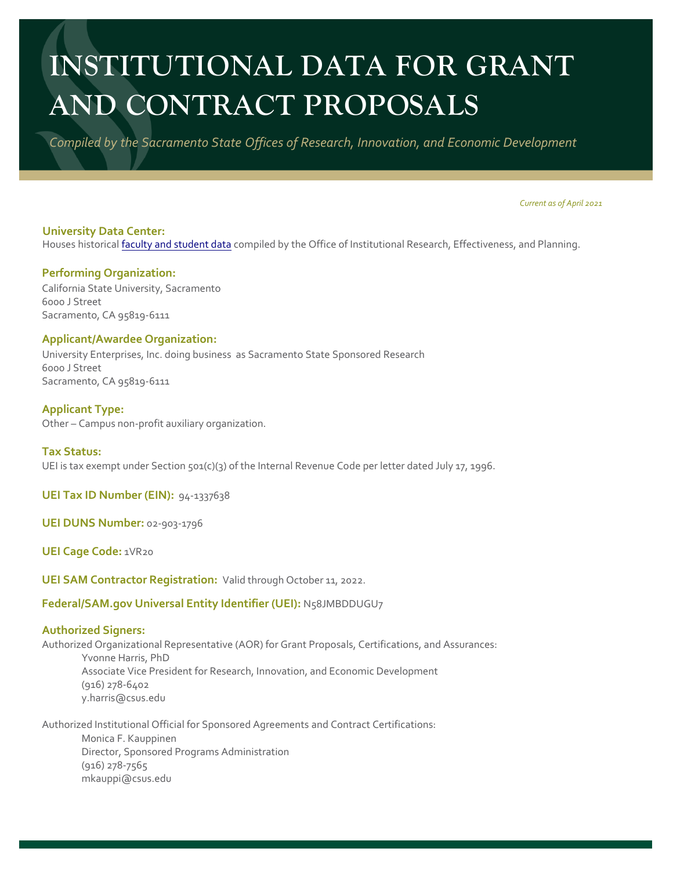# **INSTITUTIONAL DATA FOR GRANT AND CONTRACT PROPOSALS**

*Compiled by the Sacramento State Offices of Research, Innovation, and Economic Development* 

*Current as of April 2021*

**University Data Center:**  Houses historical faculty and student data compiled by the Office of Institutional Research, Effectiveness, and Planning.

## **Performing Organization:**

California State University, Sacramento 6000 J Street Sacramento, CA 95819-6111

#### **Applicant/Awardee Organization:**

University Enterprises, Inc. doing business as Sacramento State Sponsored Research 6000 J Street Sacramento, CA 95819-6111

**Applicant Type:**

Other – Campus non-profit auxiliary organization.

#### **Tax Status:**

UEI is tax exempt under Section 501(c)(3) of the Internal Revenue Code per letter dated July 17, 1996.

**UEI Tax ID Number (EIN):** 94-1337638

**UEI DUNS Number:** 02-903-1796

**UEI Cage Code:** 1VR20

**UEI SAM Contractor Registration:** Valid through October 11, 2022.

# **Federal/SAM.gov Universal Entity Identifier (UEI):** N58JMBDDUGU7

# **Authorized Signers:**

Authorized Organizational Representative (AOR) for Grant Proposals, Certifications, and Assurances: Yvonne Harris, PhD Associate Vice President for Research, Innovation, and Economic Development (916) 278-6402 [y.harris@csus.edu](mailto:y.harris@csus.edu)

Authorized Institutional Official for Sponsored Agreements and Contract Certifications: Monica F. Kauppinen Director, Sponsored Programs Administration (916) 278-7565 [mkauppi@csus.edu](mailto:mkauppi@csus.edu)